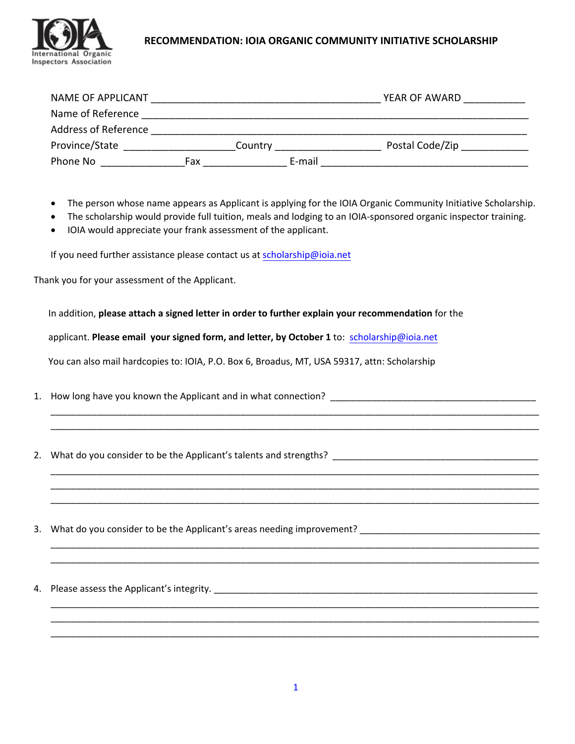

## **RECOMMENDATION: IOIA ORGANIC COMMUNITY INITIATIVE SCHOLARSHIP**

| NAME OF APPLICANT           |     |         |        | YEAR OF AWARD   |
|-----------------------------|-----|---------|--------|-----------------|
| Name of Reference           |     |         |        |                 |
| <b>Address of Reference</b> |     |         |        |                 |
| Province/State              |     | Country |        | Postal Code/Zip |
| Phone No                    | Fax |         | E-mail |                 |

- The person whose name appears as Applicant is applying for the IOIA Organic Community Initiative Scholarship.
- The scholarship would provide full tuition, meals and lodging to an IOIA‐sponsored organic inspector training.

\_\_\_\_\_\_\_\_\_\_\_\_\_\_\_\_\_\_\_\_\_\_\_\_\_\_\_\_\_\_\_\_\_\_\_\_\_\_\_\_\_\_\_\_\_\_\_\_\_\_\_\_\_\_\_\_\_\_\_\_\_\_\_\_\_\_\_\_\_\_\_\_\_\_\_\_\_\_\_\_\_\_\_\_\_\_\_\_\_\_\_\_\_\_\_ \_\_\_\_\_\_\_\_\_\_\_\_\_\_\_\_\_\_\_\_\_\_\_\_\_\_\_\_\_\_\_\_\_\_\_\_\_\_\_\_\_\_\_\_\_\_\_\_\_\_\_\_\_\_\_\_\_\_\_\_\_\_\_\_\_\_\_\_\_\_\_\_\_\_\_\_\_\_\_\_\_\_\_\_\_\_\_\_\_\_\_\_\_\_\_

\_\_\_\_\_\_\_\_\_\_\_\_\_\_\_\_\_\_\_\_\_\_\_\_\_\_\_\_\_\_\_\_\_\_\_\_\_\_\_\_\_\_\_\_\_\_\_\_\_\_\_\_\_\_\_\_\_\_\_\_\_\_\_\_\_\_\_\_\_\_\_\_\_\_\_\_\_\_\_\_\_\_\_\_\_\_\_\_\_\_\_\_\_\_\_ \_\_\_\_\_\_\_\_\_\_\_\_\_\_\_\_\_\_\_\_\_\_\_\_\_\_\_\_\_\_\_\_\_\_\_\_\_\_\_\_\_\_\_\_\_\_\_\_\_\_\_\_\_\_\_\_\_\_\_\_\_\_\_\_\_\_\_\_\_\_\_\_\_\_\_\_\_\_\_\_\_\_\_\_\_\_\_\_\_\_\_\_\_\_\_ \_\_\_\_\_\_\_\_\_\_\_\_\_\_\_\_\_\_\_\_\_\_\_\_\_\_\_\_\_\_\_\_\_\_\_\_\_\_\_\_\_\_\_\_\_\_\_\_\_\_\_\_\_\_\_\_\_\_\_\_\_\_\_\_\_\_\_\_\_\_\_\_\_\_\_\_\_\_\_\_\_\_\_\_\_\_\_\_\_\_\_\_\_\_\_

\_\_\_\_\_\_\_\_\_\_\_\_\_\_\_\_\_\_\_\_\_\_\_\_\_\_\_\_\_\_\_\_\_\_\_\_\_\_\_\_\_\_\_\_\_\_\_\_\_\_\_\_\_\_\_\_\_\_\_\_\_\_\_\_\_\_\_\_\_\_\_\_\_\_\_\_\_\_\_\_\_\_\_\_\_\_\_\_\_\_\_\_\_\_\_ \_\_\_\_\_\_\_\_\_\_\_\_\_\_\_\_\_\_\_\_\_\_\_\_\_\_\_\_\_\_\_\_\_\_\_\_\_\_\_\_\_\_\_\_\_\_\_\_\_\_\_\_\_\_\_\_\_\_\_\_\_\_\_\_\_\_\_\_\_\_\_\_\_\_\_\_\_\_\_\_\_\_\_\_\_\_\_\_\_\_\_\_\_\_\_

\_\_\_\_\_\_\_\_\_\_\_\_\_\_\_\_\_\_\_\_\_\_\_\_\_\_\_\_\_\_\_\_\_\_\_\_\_\_\_\_\_\_\_\_\_\_\_\_\_\_\_\_\_\_\_\_\_\_\_\_\_\_\_\_\_\_\_\_\_\_\_\_\_\_\_\_\_\_\_\_\_\_\_\_\_\_\_\_\_\_\_\_\_\_\_ \_\_\_\_\_\_\_\_\_\_\_\_\_\_\_\_\_\_\_\_\_\_\_\_\_\_\_\_\_\_\_\_\_\_\_\_\_\_\_\_\_\_\_\_\_\_\_\_\_\_\_\_\_\_\_\_\_\_\_\_\_\_\_\_\_\_\_\_\_\_\_\_\_\_\_\_\_\_\_\_\_\_\_\_\_\_\_\_\_\_\_\_\_\_\_ \_\_\_\_\_\_\_\_\_\_\_\_\_\_\_\_\_\_\_\_\_\_\_\_\_\_\_\_\_\_\_\_\_\_\_\_\_\_\_\_\_\_\_\_\_\_\_\_\_\_\_\_\_\_\_\_\_\_\_\_\_\_\_\_\_\_\_\_\_\_\_\_\_\_\_\_\_\_\_\_\_\_\_\_\_\_\_\_\_\_\_\_\_\_\_

IOIA would appreciate your frank assessment of the applicant.

If you need further assistance please contact us at [scholarship@ioia.net](mailto:scholarship@ioia.net)

Thank you for your assessment of the Applicant.

In addition, **please attach a signed letter in order to further explain your recommendation** for the

applicant. **Please email your signed form, and letter, by October 1** to: scholarship@ioia.net

You can also mail hardcopies to: IOIA, P.O. Box 6, Broadus, MT, USA 59317, attn: [Scholarship](mailto:scholarship@ioia.net)

- 1. How long have you known the Applicant and in what connection? \_\_\_\_\_\_\_\_\_\_\_\_\_\_\_\_\_\_\_\_\_\_\_\_\_\_\_\_\_\_\_\_\_\_\_\_\_\_\_\_
- 2. What do you consider to be the Applicant's talents and strengths? \_\_\_\_\_\_\_\_\_\_\_\_\_\_\_\_\_\_\_\_\_\_\_\_\_\_\_\_\_\_\_\_\_\_\_\_\_\_\_\_
- 3. What do you consider to be the Applicant's areas needing improvement? \_\_\_\_\_\_\_\_\_\_\_\_\_\_\_\_\_\_\_\_\_\_\_\_\_\_\_\_\_\_\_\_\_\_\_
- 4. Please assess the Applicant's integrity. \_\_\_\_\_\_\_\_\_\_\_\_\_\_\_\_\_\_\_\_\_\_\_\_\_\_\_\_\_\_\_\_\_\_\_\_\_\_\_\_\_\_\_\_\_\_\_\_\_\_\_\_\_\_\_\_\_\_\_\_\_\_\_